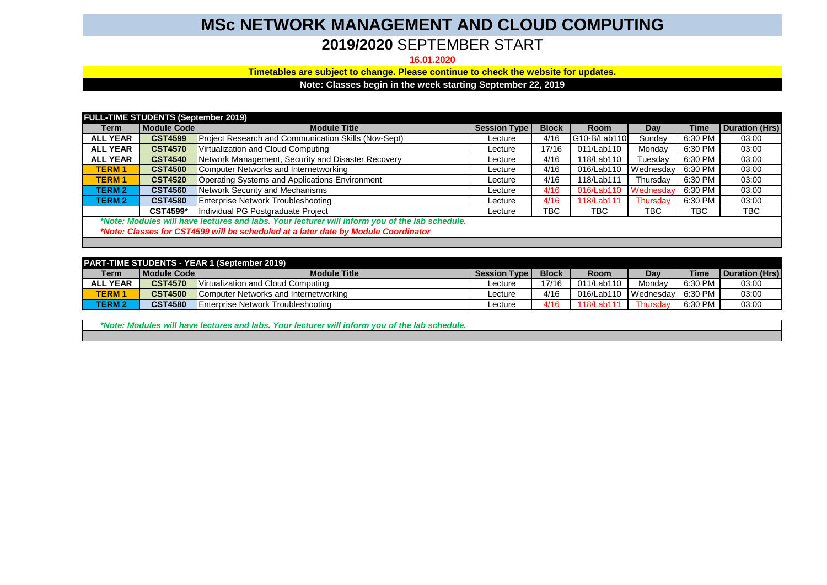## **MSc NETWORK MANAGEMENT AND CLOUD COMPUTING**

## **2019/2020** SEPTEMBER START

## **16.01.2020**

**Timetables are subject to change. Please continue to check the website for updates.**

**Note: Classes begin in the week starting September 22, 2019**

| <b>FULL-TIME STUDENTS (September 2019)</b>                                                     |                |                                                      |                     |              |              |           |            |                       |
|------------------------------------------------------------------------------------------------|----------------|------------------------------------------------------|---------------------|--------------|--------------|-----------|------------|-----------------------|
| Term                                                                                           | Module Code    | <b>Module Title</b>                                  | <b>Session Type</b> | <b>Block</b> | <b>Room</b>  | Day       | Time       | <b>Duration (Hrs)</b> |
| <b>ALL YEAR</b>                                                                                | <b>CST4599</b> | Project Research and Communication Skills (Nov-Sept) | Lecture             | 4/16         | G10-B/Lab110 | Sundav    | 6:30 PM    | 03:00                 |
| <b>ALL YEAR</b>                                                                                | <b>CST4570</b> | Virtualization and Cloud Computing                   | Lecture             | 17/16        | 011/Lab110   | Mondav    | 6:30 PM    | 03:00                 |
| <b>ALL YEAR</b>                                                                                | <b>CST4540</b> | Network Management, Security and Disaster Recovery   | Lecture             | 4/16         | 118/Lab110   | Tuesday   | 6:30 PM    | 03:00                 |
| <b>TERM1</b>                                                                                   | <b>CST4500</b> | Computer Networks and Internetworking                | Lecture             | 4/16         | 016/Lab110   | Wednesday | 6:30 PM    | 03:00                 |
| <b>TERM1</b>                                                                                   | <b>CST4520</b> | Operating Systems and Applications Environment       | Lecture             | 4/16         | 118/Lab111   | Thursdav  | 6:30 PM    | 03:00                 |
| <b>TERM 2</b>                                                                                  | <b>CST4560</b> | Network Security and Mechanisms                      | Lecture             | 4/16         | 016/Lab110   | Wednesdav | 6:30 PM    | 03:00                 |
| <b>TERM 2</b>                                                                                  | <b>CST4580</b> | Enterprise Network Troubleshooting                   | Lecture             | 4/16         | 118/Lab111   | Thursdav  | 6:30 PM    | 03:00                 |
|                                                                                                | CST4599*       | Individual PG Postgraduate Project                   | Lecture             | <b>TBC</b>   | TBC          | TBC       | <b>TBC</b> | TBC                   |
| *Note: Modules will have lectures and labs. Your lecturer will inform you of the lab schedule. |                |                                                      |                     |              |              |           |            |                       |
| *Note: Classes for CST4599 will be scheduled at a later date by Module Coordinator             |                |                                                      |                     |              |              |           |            |                       |
|                                                                                                |                |                                                      |                     |              |              |           |            |                       |

| <b>PART-TIME STUDENTS - YEAR 1 (September 2019)</b> |                |                                            |              |              |             |                     |             |                |  |
|-----------------------------------------------------|----------------|--------------------------------------------|--------------|--------------|-------------|---------------------|-------------|----------------|--|
| Term                                                | Module Code    | <b>Module Title</b>                        | Session Type | <b>Block</b> | <b>Room</b> | Dav                 | <b>Time</b> | Duration (Hrs) |  |
| <b>ALL YEAR</b>                                     | <b>CST4570</b> | Virtualization and Cloud Computing         | _ecture      | 17/16        | 011/Lab110  | Mondav              | 6:30 PM     | 03:00          |  |
| TERM 1                                              | <b>CST4500</b> | Computer Networks and Internetworking      | _ecture      | 4/16         | 016/Lab110  | I Wednesday 6:30 PM |             | 03:00          |  |
| <b>TERM 2</b>                                       | <b>CST4580</b> | <b>IEnterprise Network Troubleshooting</b> | _ecture      | 4/16         | 118/I ab111 | Thursdav            | 6:30 PM     | 03:00          |  |

*\*Note: Modules will have lectures and labs. Your lecturer will inform you of the lab schedule.*